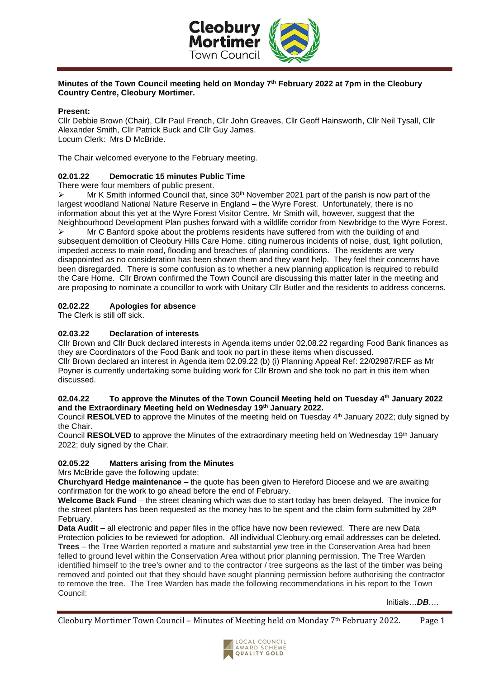

# **Minutes of the Town Council meeting held on Monday 7th February 2022 at 7pm in the Cleobury Country Centre, Cleobury Mortimer.**

## **Present:**

Cllr Debbie Brown (Chair), Cllr Paul French, Cllr John Greaves, Cllr Geoff Hainsworth, Cllr Neil Tysall, Cllr Alexander Smith, Cllr Patrick Buck and Cllr Guy James. Locum Clerk: Mrs D McBride.

The Chair welcomed everyone to the February meeting.

## **02.01.22 Democratic 15 minutes Public Time**

There were four members of public present.

 $\triangleright$  Mr K Smith informed Council that, since 30<sup>th</sup> November 2021 part of the parish is now part of the largest woodland National Nature Reserve in England – the Wyre Forest. Unfortunately, there is no information about this yet at the Wyre Forest Visitor Centre. Mr Smith will, however, suggest that the Neighbourhood Development Plan pushes forward with a wildlife corridor from Newbridge to the Wyre Forest.

 $\triangleright$  Mr C Banford spoke about the problems residents have suffered from with the building of and subsequent demolition of Cleobury Hills Care Home, citing numerous incidents of noise, dust, light pollution, impeded access to main road, flooding and breaches of planning conditions. The residents are very disappointed as no consideration has been shown them and they want help. They feel their concerns have been disregarded. There is some confusion as to whether a new planning application is required to rebuild the Care Home. Cllr Brown confirmed the Town Council are discussing this matter later in the meeting and are proposing to nominate a councillor to work with Unitary Cllr Butler and the residents to address concerns.

## **02.02.22 Apologies for absence**

The Clerk is still off sick.

## **02.03.22 Declaration of interests**

Cllr Brown and Cllr Buck declared interests in Agenda items under 02.08.22 regarding Food Bank finances as they are Coordinators of the Food Bank and took no part in these items when discussed. Cllr Brown declared an interest in Agenda item 02.09.22 (b) (i) Planning Appeal Ref: 22/02987/REF as Mr Poyner is currently undertaking some building work for Cllr Brown and she took no part in this item when discussed.

#### **02.04.22 To approve the Minutes of the Town Council Meeting held on Tuesday 4th January 2022 and the Extraordinary Meeting held on Wednesday 19th January 2022.**

Council **RESOLVED** to approve the Minutes of the meeting held on Tuesday 4<sup>th</sup> January 2022; duly signed by the Chair.

Council RESOLVED to approve the Minutes of the extraordinary meeting held on Wednesday 19<sup>th</sup> January 2022; duly signed by the Chair.

## **02.05.22 Matters arising from the Minutes**

Mrs McBride gave the following update:

**Churchyard Hedge maintenance** – the quote has been given to Hereford Diocese and we are awaiting confirmation for the work to go ahead before the end of February.

**Welcome Back Fund** – the street cleaning which was due to start today has been delayed. The invoice for the street planters has been requested as the money has to be spent and the claim form submitted by  $28<sup>th</sup>$ February.

**Data Audit** – all electronic and paper files in the office have now been reviewed. There are new Data Protection policies to be reviewed for adoption. All individual Cleobury.org email addresses can be deleted. **Trees** – the Tree Warden reported a mature and substantial yew tree in the Conservation Area had been felled to ground level within the Conservation Area without prior planning permission. The Tree Warden identified himself to the tree's owner and to the contractor / tree surgeons as the last of the timber was being removed and pointed out that they should have sought planning permission before authorising the contractor to remove the tree. The Tree Warden has made the following recommendations in his report to the Town Council:

Initials…*DB*.…

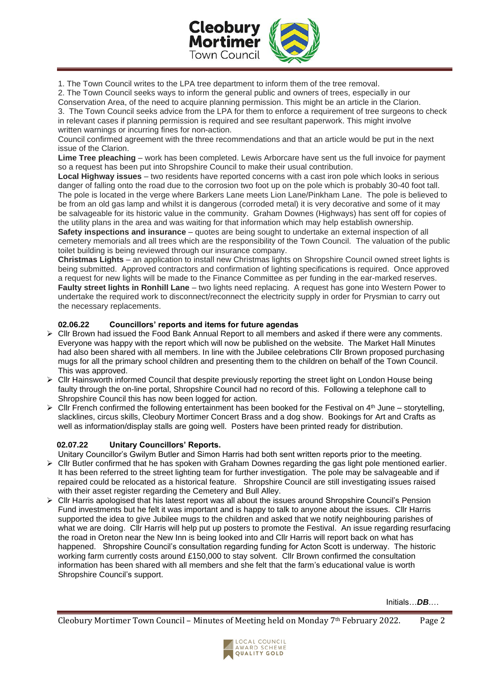

1. The Town Council writes to the LPA tree department to inform them of the tree removal.

2. The Town Council seeks ways to inform the general public and owners of trees, especially in our

Conservation Area, of the need to acquire planning permission. This might be an article in the Clarion. 3. The Town Council seeks advice from the LPA for them to enforce a requirement of tree surgeons to check in relevant cases if planning permission is required and see resultant paperwork. This might involve

written warnings or incurring fines for non-action. Council confirmed agreement with the three recommendations and that an article would be put in the next issue of the Clarion.

**Lime Tree pleaching** – work has been completed. Lewis Arborcare have sent us the full invoice for payment so a request has been put into Shropshire Council to make their usual contribution.

**Local Highway issues** – two residents have reported concerns with a cast iron pole which looks in serious danger of falling onto the road due to the corrosion two foot up on the pole which is probably 30-40 foot tall. The pole is located in the verge where Barkers Lane meets Lion Lane/Pinkham Lane. The pole is believed to be from an old gas lamp and whilst it is dangerous (corroded metal) it is very decorative and some of it may be salvageable for its historic value in the community. Graham Downes (Highways) has sent off for copies of the utility plans in the area and was waiting for that information which may help establish ownership.

**Safety inspections and insurance** – quotes are being sought to undertake an external inspection of all cemetery memorials and all trees which are the responsibility of the Town Council. The valuation of the public toilet building is being reviewed through our insurance company.

**Christmas Lights** – an application to install new Christmas lights on Shropshire Council owned street lights is being submitted. Approved contractors and confirmation of lighting specifications is required. Once approved a request for new lights will be made to the Finance Committee as per funding in the ear-marked reserves. **Faulty street lights in Ronhill Lane** – two lights need replacing. A request has gone into Western Power to undertake the required work to disconnect/reconnect the electricity supply in order for Prysmian to carry out the necessary replacements.

# **02.06.22 Councillors' reports and items for future agendas**

- ➢ Cllr Brown had issued the Food Bank Annual Report to all members and asked if there were any comments. Everyone was happy with the report which will now be published on the website. The Market Hall Minutes had also been shared with all members. In line with the Jubilee celebrations Cllr Brown proposed purchasing mugs for all the primary school children and presenting them to the children on behalf of the Town Council. This was approved.
- ➢ Cllr Hainsworth informed Council that despite previously reporting the street light on London House being faulty through the on-line portal, Shropshire Council had no record of this. Following a telephone call to Shropshire Council this has now been logged for action.
- $\triangleright$  Cllr French confirmed the following entertainment has been booked for the Festival on 4<sup>th</sup> June storytelling, slacklines, circus skills, Cleobury Mortimer Concert Brass and a dog show. Bookings for Art and Crafts as well as information/display stalls are going well. Posters have been printed ready for distribution.

# **02.07.22 Unitary Councillors' Reports.**

Unitary Councillor's Gwilym Butler and Simon Harris had both sent written reports prior to the meeting.

- ➢ Cllr Butler confirmed that he has spoken with Graham Downes regarding the gas light pole mentioned earlier. It has been referred to the street lighting team for further investigation. The pole may be salvageable and if repaired could be relocated as a historical feature. Shropshire Council are still investigating issues raised with their asset register regarding the Cemetery and Bull Alley.
- ➢ Cllr Harris apologised that his latest report was all about the issues around Shropshire Council's Pension Fund investments but he felt it was important and is happy to talk to anyone about the issues. Cllr Harris supported the idea to give Jubilee mugs to the children and asked that we notify neighbouring parishes of what we are doing. Cllr Harris will help put up posters to promote the Festival. An issue regarding resurfacing the road in Oreton near the New Inn is being looked into and Cllr Harris will report back on what has happened. Shropshire Council's consultation regarding funding for Acton Scott is underway. The historic working farm currently costs around £150,000 to stay solvent. Cllr Brown confirmed the consultation information has been shared with all members and she felt that the farm's educational value is worth Shropshire Council's support.

Initials…*DB*.…

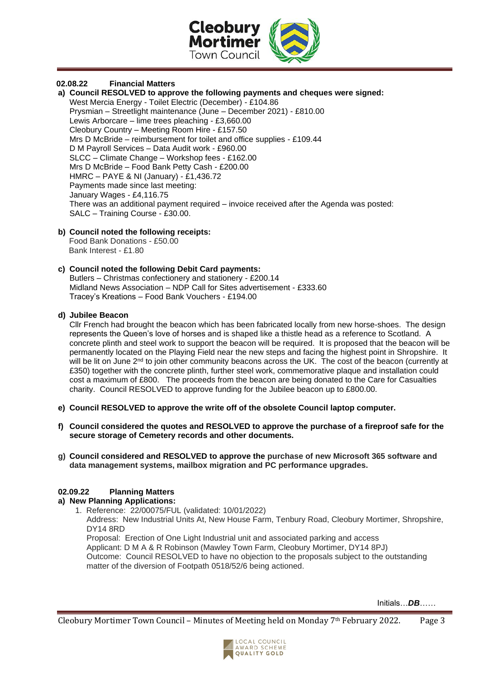

#### **02.08.22 Financial Matters**

**a) Council RESOLVED to approve the following payments and cheques were signed:** West Mercia Energy - Toilet Electric (December) - £104.86 Prysmian – Streetlight maintenance (June – December 2021) - £810.00 Lewis Arborcare – lime trees pleaching - £3,660.00 Cleobury Country – Meeting Room Hire - £157.50 Mrs D McBride – reimbursement for toilet and office supplies - £109.44 D M Payroll Services – Data Audit work - £960.00 SLCC – Climate Change – Workshop fees - £162.00 Mrs D McBride – Food Bank Petty Cash - £200.00 HMRC – PAYE & NI (January) - £1,436.72 Payments made since last meeting: January Wages - £4,116.75 There was an additional payment required – invoice received after the Agenda was posted: SALC – Training Course - £30.00.

## **b) Council noted the following receipts:**

 Food Bank Donations - £50.00 Bank Interest - £1.80

#### **c) Council noted the following Debit Card payments:**

Butlers – Christmas confectionery and stationery - £200.14 Midland News Association – NDP Call for Sites advertisement - £333.60 Tracey's Kreations – Food Bank Vouchers - £194.00

#### **d) Jubilee Beacon**

Cllr French had brought the beacon which has been fabricated locally from new horse-shoes. The design represents the Queen's love of horses and is shaped like a thistle head as a reference to Scotland. A concrete plinth and steel work to support the beacon will be required. It is proposed that the beacon will be permanently located on the Playing Field near the new steps and facing the highest point in Shropshire. It will be lit on June 2<sup>nd</sup> to join other community beacons across the UK. The cost of the beacon (currently at £350) together with the concrete plinth, further steel work, commemorative plaque and installation could cost a maximum of £800. The proceeds from the beacon are being donated to the Care for Casualties charity. Council RESOLVED to approve funding for the Jubilee beacon up to £800.00.

- **e) Council RESOLVED to approve the write off of the obsolete Council laptop computer.**
- **f) Council considered the quotes and RESOLVED to approve the purchase of a fireproof safe for the secure storage of Cemetery records and other documents.**
- **g) Council considered and RESOLVED to approve the purchase of new Microsoft 365 software and data management systems, mailbox migration and PC performance upgrades.**

## **02.09.22 Planning Matters**

## **a) New Planning Applications:**

1. Reference: 22/00075/FUL (validated: 10/01/2022)

Address: New Industrial Units At, New House Farm, Tenbury Road, Cleobury Mortimer, Shropshire, DY14 8RD

Proposal: Erection of One Light Industrial unit and associated parking and access Applicant: D M A & R Robinson (Mawley Town Farm, Cleobury Mortimer, DY14 8PJ) Outcome: Council RESOLVED to have no objection to the proposals subject to the outstanding matter of the diversion of Footpath 0518/52/6 being actioned.

Initials…*DB*……

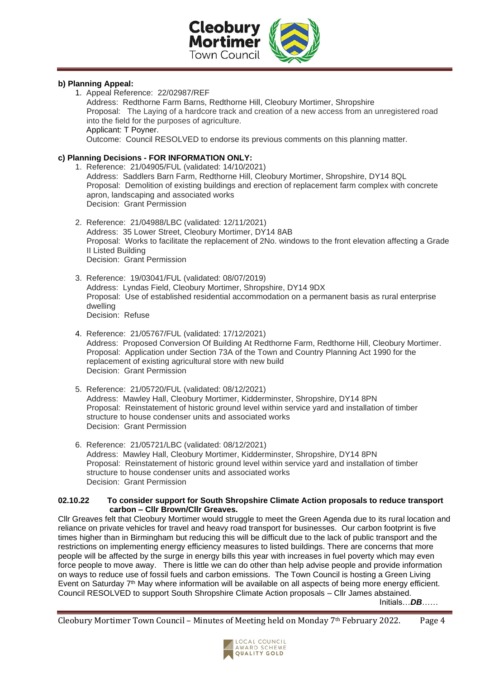

## **b) Planning Appeal:**

1. Appeal Reference: 22/02987/REF Address: Redthorne Farm Barns, Redthorne Hill, Cleobury Mortimer, Shropshire Proposal: The Laying of a hardcore track and creation of a new access from an unregistered road into the field for the purposes of agriculture. Applicant: T Poyner. Outcome: Council RESOLVED to endorse its previous comments on this planning matter.

# **c) Planning Decisions - FOR INFORMATION ONLY:**

- 1. Reference: 21/04905/FUL (validated: 14/10/2021) Address: Saddlers Barn Farm, Redthorne Hill, Cleobury Mortimer, Shropshire, DY14 8QL Proposal: Demolition of existing buildings and erection of replacement farm complex with concrete apron, landscaping and associated works Decision: Grant Permission
- 2. Reference: 21/04988/LBC (validated: 12/11/2021) Address: 35 Lower Street, Cleobury Mortimer, DY14 8AB Proposal: Works to facilitate the replacement of 2No. windows to the front elevation affecting a Grade II Listed Building Decision: Grant Permission
- 3. Reference: 19/03041/FUL (validated: 08/07/2019) Address: Lyndas Field, Cleobury Mortimer, Shropshire, DY14 9DX Proposal: Use of established residential accommodation on a permanent basis as rural enterprise dwelling
	- Decision: Refuse
- 4. Reference: 21/05767/FUL (validated: 17/12/2021) Address: Proposed Conversion Of Building At Redthorne Farm, Redthorne Hill, Cleobury Mortimer. Proposal: Application under Section 73A of the Town and Country Planning Act 1990 for the replacement of existing agricultural store with new build Decision: Grant Permission
- 5. Reference: 21/05720/FUL (validated: 08/12/2021) Address: Mawley Hall, Cleobury Mortimer, Kidderminster, Shropshire, DY14 8PN Proposal: Reinstatement of historic ground level within service yard and installation of timber structure to house condenser units and associated works Decision: Grant Permission
- 6. Reference: 21/05721/LBC (validated: 08/12/2021) Address: Mawley Hall, Cleobury Mortimer, Kidderminster, Shropshire, DY14 8PN Proposal: Reinstatement of historic ground level within service yard and installation of timber structure to house condenser units and associated works Decision: Grant Permission

#### **02.10.22 To consider support for South Shropshire Climate Action proposals to reduce transport carbon – Cllr Brown/Cllr Greaves.**

Cllr Greaves felt that Cleobury Mortimer would struggle to meet the Green Agenda due to its rural location and reliance on private vehicles for travel and heavy road transport for businesses. Our carbon footprint is five times higher than in Birmingham but reducing this will be difficult due to the lack of public transport and the restrictions on implementing energy efficiency measures to listed buildings. There are concerns that more people will be affected by the surge in energy bills this year with increases in fuel poverty which may even force people to move away. There is little we can do other than help advise people and provide information on ways to reduce use of fossil fuels and carbon emissions. The Town Council is hosting a Green Living Event on Saturday 7<sup>th</sup> May where information will be available on all aspects of being more energy efficient. Council RESOLVED to support South Shropshire Climate Action proposals – Cllr James abstained.

Initials…*DB*……